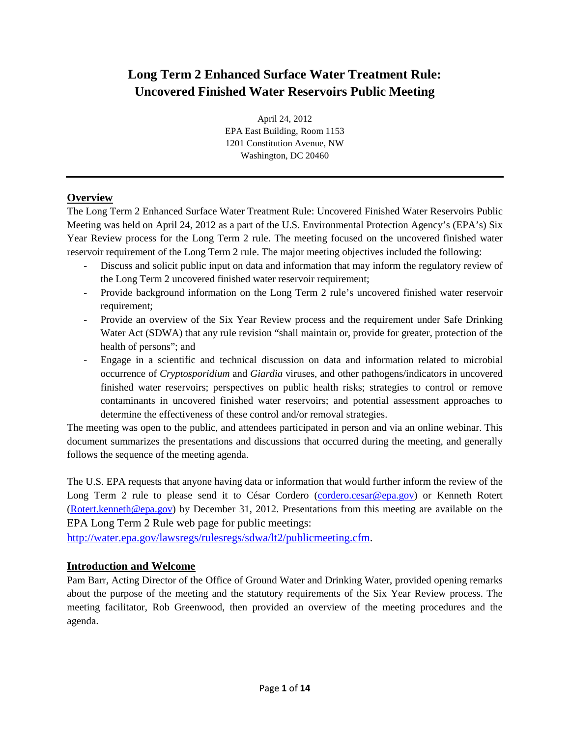# **Long Term 2 Enhanced Surface Water Treatment Rule: Uncovered Finished Water Reservoirs Public Meeting**

April 24, 2012 EPA East Building, Room 1153 1201 Constitution Avenue, NW Washington, DC 20460

#### **Overview**

The Long Term 2 Enhanced Surface Water Treatment Rule: Uncovered Finished Water Reservoirs Public Meeting was held on April 24, 2012 as a part of the U.S. Environmental Protection Agency's (EPA's) Six Year Review process for the Long Term 2 rule. The meeting focused on the uncovered finished water reservoir requirement of the Long Term 2 rule. The major meeting objectives included the following:

- Discuss and solicit public input on data and information that may inform the regulatory review of the Long Term 2 uncovered finished water reservoir requirement;
- Provide background information on the Long Term 2 rule's uncovered finished water reservoir requirement;
- Provide an overview of the Six Year Review process and the requirement under Safe Drinking Water Act (SDWA) that any rule revision "shall maintain or, provide for greater, protection of the health of persons"; and
- Engage in a scientific and technical discussion on data and information related to microbial occurrence of *Cryptosporidium* and *Giardia* viruses, and other pathogens/indicators in uncovered finished water reservoirs; perspectives on public health risks; strategies to control or remove contaminants in uncovered finished water reservoirs; and potential assessment approaches to determine the effectiveness of these control and/or removal strategies.

The meeting was open to the public, and attendees participated in person and via an online webinar. This document summarizes the presentations and discussions that occurred during the meeting, and generally follows the sequence of the meeting agenda.

The U.S. EPA requests that anyone having data or information that would further inform the review of the Long Term 2 rule to please send it to César Cordero [\(cordero.cesar@epa.gov\)](mailto:cordero.cesar@epa.gov) or Kenneth Rotert [\(Rotert.kenneth@epa.gov\)](mailto:Rotert.kenneth@epa.gov) by December 31, 2012. Presentations from this meeting are available on the EPA Long Term 2 Rule web page for public meetings:

[http://water.epa.gov/lawsregs/rulesregs/sdwa/lt2/publicmeeting.cfm.](http://water.epa.gov/lawsregs/rulesregs/sdwa/lt2/publicmeeting.cfm)

#### **Introduction and Welcome**

Pam Barr, Acting Director of the Office of Ground Water and Drinking Water, provided opening remarks about the purpose of the meeting and the statutory requirements of the Six Year Review process. The meeting facilitator, Rob Greenwood, then provided an overview of the meeting procedures and the agenda.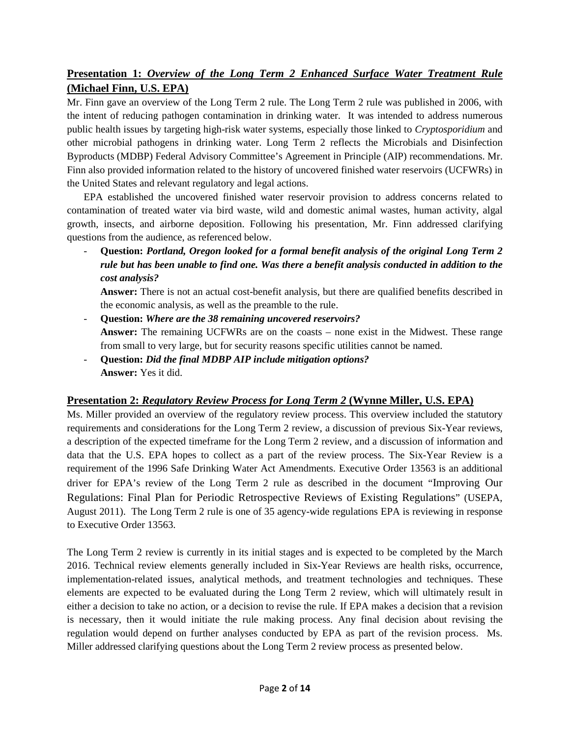# **Presentation 1:** *Overview of the Long Term 2 Enhanced Surface Water Treatment Rule* **(Michael Finn, U.S. EPA)**

Mr. Finn gave an overview of the Long Term 2 rule. The Long Term 2 rule was published in 2006, with the intent of reducing pathogen contamination in drinking water. It was intended to address numerous public health issues by targeting high-risk water systems, especially those linked to *Cryptosporidium* and other microbial pathogens in drinking water. Long Term 2 reflects the Microbials and Disinfection Byproducts (MDBP) Federal Advisory Committee's Agreement in Principle (AIP) recommendations. Mr. Finn also provided information related to the history of uncovered finished water reservoirs (UCFWRs) in the United States and relevant regulatory and legal actions.

EPA established the uncovered finished water reservoir provision to address concerns related to contamination of treated water via bird waste, wild and domestic animal wastes, human activity, algal growth, insects, and airborne deposition. Following his presentation, Mr. Finn addressed clarifying questions from the audience, as referenced below.

- **Question:** *Portland, Oregon looked for a formal benefit analysis of the original Long Term 2 rule but has been unable to find one. Was there a benefit analysis conducted in addition to the cost analysis?*

**Answer:** There is not an actual cost-benefit analysis, but there are qualified benefits described in the economic analysis, as well as the preamble to the rule.

- **Question:** *Where are the 38 remaining uncovered reservoirs?* **Answer:** The remaining UCFWRs are on the coasts – none exist in the Midwest. These range from small to very large, but for security reasons specific utilities cannot be named.
- **Question:** *Did the final MDBP AIP include mitigation options?* **Answer:** Yes it did.

### **Presentation 2:** *Regulatory Review Process for Long Term 2* **(Wynne Miller, U.S. EPA)**

Ms. Miller provided an overview of the regulatory review process. This overview included the statutory requirements and considerations for the Long Term 2 review, a discussion of previous Six-Year reviews, a description of the expected timeframe for the Long Term 2 review, and a discussion of information and data that the U.S. EPA hopes to collect as a part of the review process. The Six-Year Review is a requirement of the 1996 Safe Drinking Water Act Amendments. Executive Order 13563 is an additional driver for EPA's review of the Long Term 2 rule as described in the document "Improving Our Regulations: Final Plan for Periodic Retrospective Reviews of Existing Regulations" (USEPA, August 2011). The Long Term 2 rule is one of 35 agency-wide regulations EPA is reviewing in response to Executive Order 13563.

The Long Term 2 review is currently in its initial stages and is expected to be completed by the March 2016. Technical review elements generally included in Six-Year Reviews are health risks, occurrence, implementation-related issues, analytical methods, and treatment technologies and techniques. These elements are expected to be evaluated during the Long Term 2 review, which will ultimately result in either a decision to take no action, or a decision to revise the rule. If EPA makes a decision that a revision is necessary, then it would initiate the rule making process. Any final decision about revising the regulation would depend on further analyses conducted by EPA as part of the revision process. Ms. Miller addressed clarifying questions about the Long Term 2 review process as presented below.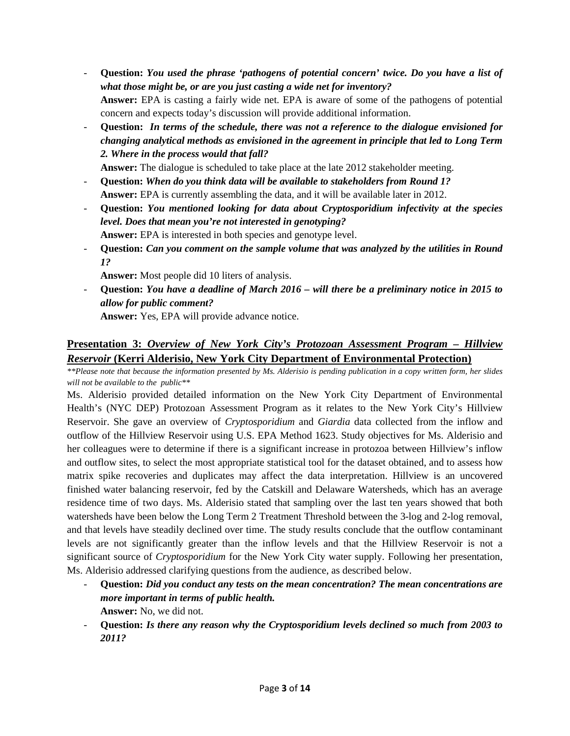- **Question:** *You used the phrase 'pathogens of potential concern' twice. Do you have a list of what those might be, or are you just casting a wide net for inventory?* **Answer:** EPA is casting a fairly wide net. EPA is aware of some of the pathogens of potential concern and expects today's discussion will provide additional information.
- **Question:** *In terms of the schedule, there was not a reference to the dialogue envisioned for changing analytical methods as envisioned in the agreement in principle that led to Long Term 2. Where in the process would that fall?*

**Answer:** The dialogue is scheduled to take place at the late 2012 stakeholder meeting.

- **Question:** *When do you think data will be available to stakeholders from Round 1?* **Answer:** EPA is currently assembling the data, and it will be available later in 2012.
- **Question:** *You mentioned looking for data about Cryptosporidium infectivity at the species level. Does that mean you're not interested in genotyping?*  **Answer:** EPA is interested in both species and genotype level.
- **Question:** *Can you comment on the sample volume that was analyzed by the utilities in Round 1?*

**Answer:** Most people did 10 liters of analysis.

- **Question:** *You have a deadline of March 2016 – will there be a preliminary notice in 2015 to allow for public comment?* 

**Answer:** Yes, EPA will provide advance notice.

### **Presentation 3:** *Overview of New York City's Protozoan Assessment Program – Hillview Reservoir* **(Kerri Alderisio, New York City Department of Environmental Protection)**

*\*\*Please note that because the information presented by Ms. Alderisio is pending publication in a copy written form, her slides will not be available to the public\*\**

Ms. Alderisio provided detailed information on the New York City Department of Environmental Health's (NYC DEP) Protozoan Assessment Program as it relates to the New York City's Hillview Reservoir. She gave an overview of *Cryptosporidium* and *Giardia* data collected from the inflow and outflow of the Hillview Reservoir using U.S. EPA Method 1623. Study objectives for Ms. Alderisio and her colleagues were to determine if there is a significant increase in protozoa between Hillview's inflow and outflow sites, to select the most appropriate statistical tool for the dataset obtained, and to assess how matrix spike recoveries and duplicates may affect the data interpretation. Hillview is an uncovered finished water balancing reservoir, fed by the Catskill and Delaware Watersheds, which has an average residence time of two days. Ms. Alderisio stated that sampling over the last ten years showed that both watersheds have been below the Long Term 2 Treatment Threshold between the 3-log and 2-log removal, and that levels have steadily declined over time. The study results conclude that the outflow contaminant levels are not significantly greater than the inflow levels and that the Hillview Reservoir is not a significant source of *Cryptosporidium* for the New York City water supply. Following her presentation, Ms. Alderisio addressed clarifying questions from the audience, as described below.

- **Question:** *Did you conduct any tests on the mean concentration? The mean concentrations are more important in terms of public health.* **Answer:** No, we did not.
- **Question:** *Is there any reason why the Cryptosporidium levels declined so much from 2003 to 2011?*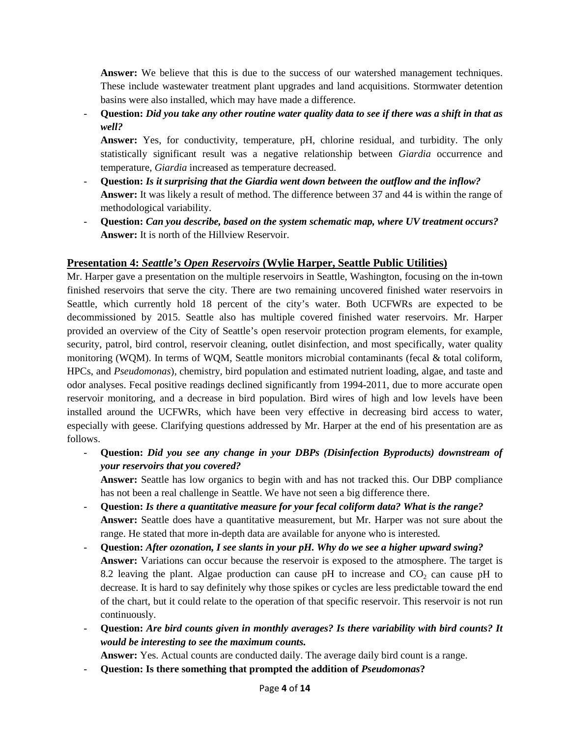Answer: We believe that this is due to the success of our watershed management techniques. These include wastewater treatment plant upgrades and land acquisitions. Stormwater detention basins were also installed, which may have made a difference.

- **Question:** *Did you take any other routine water quality data to see if there was a shift in that as well?* 

**Answer:** Yes, for conductivity, temperature, pH, chlorine residual, and turbidity. The only statistically significant result was a negative relationship between *Giardia* occurrence and temperature, *Giardia* increased as temperature decreased.

- **Question:** *Is it surprising that the Giardia went down between the outflow and the inflow?* **Answer:** It was likely a result of method. The difference between 37 and 44 is within the range of methodological variability.
- **Question:** *Can you describe, based on the system schematic map, where UV treatment occurs?*  **Answer:** It is north of the Hillview Reservoir.

### **Presentation 4:** *Seattle's Open Reservoirs* **(Wylie Harper, Seattle Public Utilities)**

Mr. Harper gave a presentation on the multiple reservoirs in Seattle, Washington, focusing on the in-town finished reservoirs that serve the city. There are two remaining uncovered finished water reservoirs in Seattle, which currently hold 18 percent of the city's water. Both UCFWRs are expected to be decommissioned by 2015. Seattle also has multiple covered finished water reservoirs. Mr. Harper provided an overview of the City of Seattle's open reservoir protection program elements, for example, security, patrol, bird control, reservoir cleaning, outlet disinfection, and most specifically, water quality monitoring (WQM). In terms of WQM, Seattle monitors microbial contaminants (fecal & total coliform, HPCs, and *Pseudomonas*), chemistry, bird population and estimated nutrient loading, algae, and taste and odor analyses. Fecal positive readings declined significantly from 1994-2011, due to more accurate open reservoir monitoring, and a decrease in bird population. Bird wires of high and low levels have been installed around the UCFWRs, which have been very effective in decreasing bird access to water, especially with geese. Clarifying questions addressed by Mr. Harper at the end of his presentation are as follows.

- **Question:** *Did you see any change in your DBPs (Disinfection Byproducts) downstream of your reservoirs that you covered?*

**Answer:** Seattle has low organics to begin with and has not tracked this. Our DBP compliance has not been a real challenge in Seattle. We have not seen a big difference there.

- **Question:** *Is there a quantitative measure for your fecal coliform data? What is the range?* **Answer:** Seattle does have a quantitative measurement, but Mr. Harper was not sure about the range. He stated that more in-depth data are available for anyone who is interested.
- **Question:** *After ozonation, I see slants in your pH. Why do we see a higher upward swing?* **Answer:** Variations can occur because the reservoir is exposed to the atmosphere. The target is 8.2 leaving the plant. Algae production can cause pH to increase and  $CO<sub>2</sub>$  can cause pH to decrease. It is hard to say definitely why those spikes or cycles are less predictable toward the end of the chart, but it could relate to the operation of that specific reservoir. This reservoir is not run continuously.
- **Question:** *Are bird counts given in monthly averages? Is there variability with bird counts? It would be interesting to see the maximum counts.*

**Answer:** Yes. Actual counts are conducted daily. The average daily bird count is a range.

- **Question: Is there something that prompted the addition of** *Pseudomonas***?**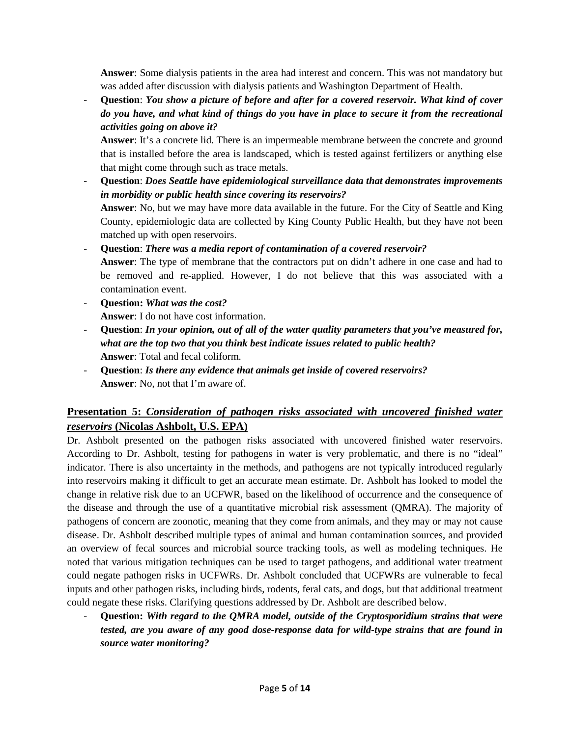**Answer**: Some dialysis patients in the area had interest and concern. This was not mandatory but was added after discussion with dialysis patients and Washington Department of Health.

- **Question**: *You show a picture of before and after for a covered reservoir. What kind of cover do you have, and what kind of things do you have in place to secure it from the recreational activities going on above it?*

**Answer**: It's a concrete lid. There is an impermeable membrane between the concrete and ground that is installed before the area is landscaped, which is tested against fertilizers or anything else that might come through such as trace metals.

- **Question**: *Does Seattle have epidemiological surveillance data that demonstrates improvements in morbidity or public health since covering its reservoirs?* **Answer**: No, but we may have more data available in the future. For the City of Seattle and King County, epidemiologic data are collected by King County Public Health, but they have not been matched up with open reservoirs.

- **Question**: *There was a media report of contamination of a covered reservoir?* **Answer**: The type of membrane that the contractors put on didn't adhere in one case and had to be removed and re-applied. However, I do not believe that this was associated with a contamination event.

- **Question:** *What was the cost?* **Answer**: I do not have cost information.
- **Question**: *In your opinion, out of all of the water quality parameters that you've measured for, what are the top two that you think best indicate issues related to public health?* **Answer**: Total and fecal coliform.
- **Question**: *Is there any evidence that animals get inside of covered reservoirs?* **Answer**: No, not that I'm aware of.

# **Presentation 5:** *Consideration of pathogen risks associated with uncovered finished water reservoirs* **(Nicolas Ashbolt, U.S. EPA)**

Dr. Ashbolt presented on the pathogen risks associated with uncovered finished water reservoirs. According to Dr. Ashbolt, testing for pathogens in water is very problematic, and there is no "ideal" indicator. There is also uncertainty in the methods, and pathogens are not typically introduced regularly into reservoirs making it difficult to get an accurate mean estimate. Dr. Ashbolt has looked to model the change in relative risk due to an UCFWR, based on the likelihood of occurrence and the consequence of the disease and through the use of a quantitative microbial risk assessment (QMRA). The majority of pathogens of concern are zoonotic, meaning that they come from animals, and they may or may not cause disease. Dr. Ashbolt described multiple types of animal and human contamination sources, and provided an overview of fecal sources and microbial source tracking tools, as well as modeling techniques. He noted that various mitigation techniques can be used to target pathogens, and additional water treatment could negate pathogen risks in UCFWRs. Dr. Ashbolt concluded that UCFWRs are vulnerable to fecal inputs and other pathogen risks, including birds, rodents, feral cats, and dogs, but that additional treatment could negate these risks. Clarifying questions addressed by Dr. Ashbolt are described below.

- **Question:** *With regard to the QMRA model, outside of the Cryptosporidium strains that were tested, are you aware of any good dose-response data for wild-type strains that are found in source water monitoring?*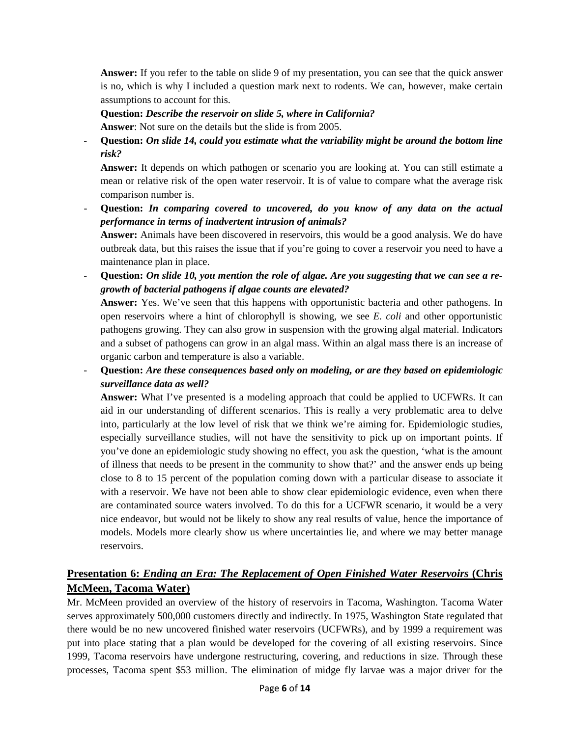**Answer:** If you refer to the table on slide 9 of my presentation, you can see that the quick answer is no, which is why I included a question mark next to rodents. We can, however, make certain assumptions to account for this.

#### **Question:** *Describe the reservoir on slide 5, where in California?*

**Answer**: Not sure on the details but the slide is from 2005.

- **Question:** *On slide 14, could you estimate what the variability might be around the bottom line risk?* 

**Answer:** It depends on which pathogen or scenario you are looking at. You can still estimate a mean or relative risk of the open water reservoir. It is of value to compare what the average risk comparison number is.

- **Question:** *In comparing covered to uncovered, do you know of any data on the actual performance in terms of inadvertent intrusion of animals?* 

**Answer:** Animals have been discovered in reservoirs, this would be a good analysis. We do have outbreak data, but this raises the issue that if you're going to cover a reservoir you need to have a maintenance plan in place.

- **Question:** *On slide 10, you mention the role of algae. Are you suggesting that we can see a regrowth of bacterial pathogens if algae counts are elevated?*

**Answer:** Yes. We've seen that this happens with opportunistic bacteria and other pathogens. In open reservoirs where a hint of chlorophyll is showing, we see *E. coli* and other opportunistic pathogens growing. They can also grow in suspension with the growing algal material. Indicators and a subset of pathogens can grow in an algal mass. Within an algal mass there is an increase of organic carbon and temperature is also a variable.

- **Question:** *Are these consequences based only on modeling, or are they based on epidemiologic surveillance data as well?*

**Answer:** What I've presented is a modeling approach that could be applied to UCFWRs. It can aid in our understanding of different scenarios. This is really a very problematic area to delve into, particularly at the low level of risk that we think we're aiming for. Epidemiologic studies, especially surveillance studies, will not have the sensitivity to pick up on important points. If you've done an epidemiologic study showing no effect, you ask the question, 'what is the amount of illness that needs to be present in the community to show that?' and the answer ends up being close to 8 to 15 percent of the population coming down with a particular disease to associate it with a reservoir. We have not been able to show clear epidemiologic evidence, even when there are contaminated source waters involved. To do this for a UCFWR scenario, it would be a very nice endeavor, but would not be likely to show any real results of value, hence the importance of models. Models more clearly show us where uncertainties lie, and where we may better manage reservoirs.

# **Presentation 6:** *Ending an Era: The Replacement of Open Finished Water Reservoirs* **(Chris McMeen, Tacoma Water)**

Mr. McMeen provided an overview of the history of reservoirs in Tacoma, Washington. Tacoma Water serves approximately 500,000 customers directly and indirectly. In 1975, Washington State regulated that there would be no new uncovered finished water reservoirs (UCFWRs), and by 1999 a requirement was put into place stating that a plan would be developed for the covering of all existing reservoirs. Since 1999, Tacoma reservoirs have undergone restructuring, covering, and reductions in size. Through these processes, Tacoma spent \$53 million. The elimination of midge fly larvae was a major driver for the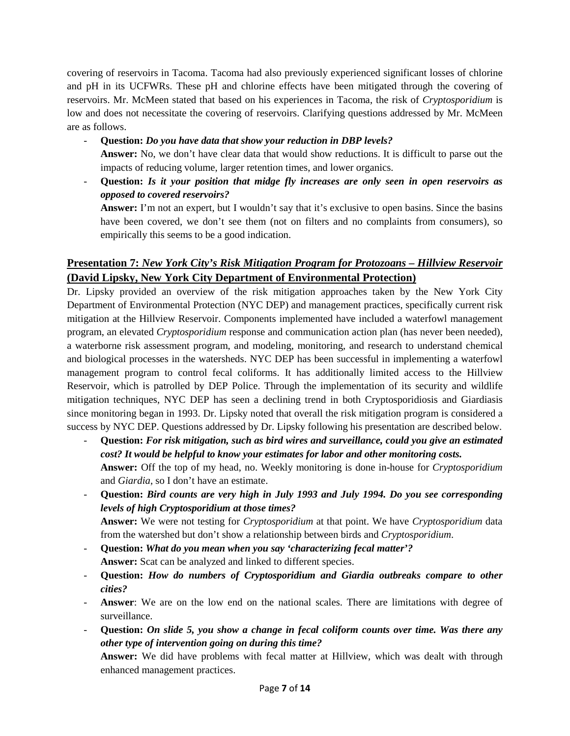covering of reservoirs in Tacoma. Tacoma had also previously experienced significant losses of chlorine and pH in its UCFWRs. These pH and chlorine effects have been mitigated through the covering of reservoirs. Mr. McMeen stated that based on his experiences in Tacoma, the risk of *Cryptosporidium* is low and does not necessitate the covering of reservoirs. Clarifying questions addressed by Mr. McMeen are as follows.

- **Question:** *Do you have data that show your reduction in DBP levels?*
- **Answer:** No, we don't have clear data that would show reductions. It is difficult to parse out the impacts of reducing volume, larger retention times, and lower organics.
- **Question:** *Is it your position that midge fly increases are only seen in open reservoirs as opposed to covered reservoirs?*

**Answer:** I'm not an expert, but I wouldn't say that it's exclusive to open basins. Since the basins have been covered, we don't see them (not on filters and no complaints from consumers), so empirically this seems to be a good indication.

# **Presentation 7:** *New York City's Risk Mitigation Program for Protozoans – Hillview Reservoir* **(David Lipsky, New York City Department of Environmental Protection)**

Dr. Lipsky provided an overview of the risk mitigation approaches taken by the New York City Department of Environmental Protection (NYC DEP) and management practices, specifically current risk mitigation at the Hillview Reservoir. Components implemented have included a waterfowl management program, an elevated *Cryptosporidium* response and communication action plan (has never been needed), a waterborne risk assessment program, and modeling, monitoring, and research to understand chemical and biological processes in the watersheds. NYC DEP has been successful in implementing a waterfowl management program to control fecal coliforms. It has additionally limited access to the Hillview Reservoir, which is patrolled by DEP Police. Through the implementation of its security and wildlife mitigation techniques, NYC DEP has seen a declining trend in both Cryptosporidiosis and Giardiasis since monitoring began in 1993. Dr. Lipsky noted that overall the risk mitigation program is considered a success by NYC DEP. Questions addressed by Dr. Lipsky following his presentation are described below.

- **Question:** *For risk mitigation, such as bird wires and surveillance, could you give an estimated cost? It would be helpful to know your estimates for labor and other monitoring costs.*  **Answer:** Off the top of my head, no. Weekly monitoring is done in-house for *Cryptosporidium* and *Giardia*, so I don't have an estimate.
- **Question:** *Bird counts are very high in July 1993 and July 1994. Do you see corresponding levels of high Cryptosporidium at those times?*

**Answer:** We were not testing for *Cryptosporidium* at that point. We have *Cryptosporidium* data from the watershed but don't show a relationship between birds and *Cryptosporidium*.

- **Question:** *What do you mean when you say 'characterizing fecal matter'?*  **Answer:** Scat can be analyzed and linked to different species.
- **Question:** *How do numbers of Cryptosporidium and Giardia outbreaks compare to other cities?*
- **Answer**: We are on the low end on the national scales. There are limitations with degree of surveillance.
- **Question:** *On slide 5, you show a change in fecal coliform counts over time. Was there any other type of intervention going on during this time?*

**Answer:** We did have problems with fecal matter at Hillview, which was dealt with through enhanced management practices.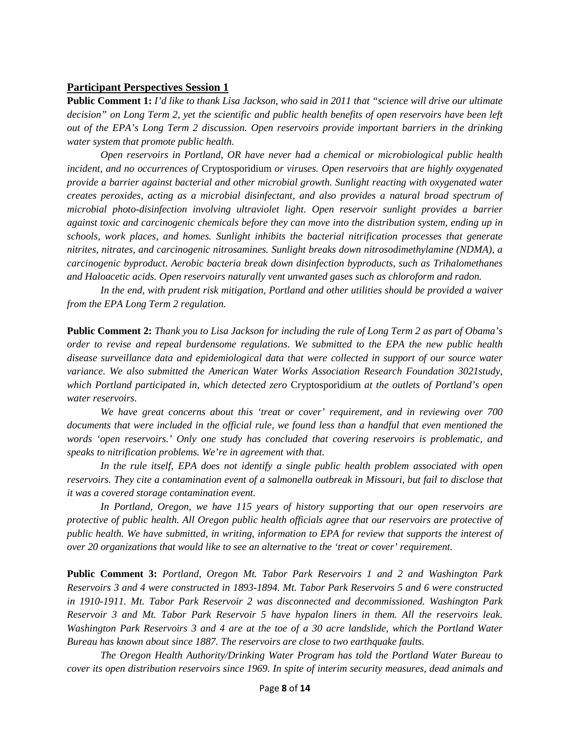#### **Participant Perspectives Session 1**

**Public Comment 1:** *I'd like to thank Lisa Jackson, who said in 2011 that "science will drive our ultimate decision" on Long Term 2, yet the scientific and public health benefits of open reservoirs have been left out of the EPA's Long Term 2 discussion. Open reservoirs provide important barriers in the drinking water system that promote public health.* 

*Open reservoirs in Portland, OR have never had a chemical or microbiological public health incident, and no occurrences of* Cryptosporidium *or viruses. Open reservoirs that are highly oxygenated provide a barrier against bacterial and other microbial growth. Sunlight reacting with oxygenated water creates peroxides, acting as a microbial disinfectant, and also provides a natural broad spectrum of microbial photo-disinfection involving ultraviolet light. Open reservoir sunlight provides a barrier against toxic and carcinogenic chemicals before they can move into the distribution system, ending up in schools, work places, and homes. Sunlight inhibits the bacterial nitrification processes that generate nitrites, nitrates, and carcinogenic nitrosamines. Sunlight breaks down nitrosodimethylamine (NDMA), a carcinogenic byproduct. Aerobic bacteria break down disinfection byproducts, such as Trihalomethanes and Haloacetic acids. Open reservoirs naturally vent unwanted gases such as chloroform and radon.*

*In the end, with prudent risk mitigation, Portland and other utilities should be provided a waiver from the EPA Long Term 2 regulation.* 

**Public Comment 2:** *Thank you to Lisa Jackson for including the rule of Long Term 2 as part of Obama's order to revise and repeal burdensome regulations. We submitted to the EPA the new public health disease surveillance data and epidemiological data that were collected in support of our source water variance. We also submitted the American Water Works Association Research Foundation 3021study, which Portland participated in, which detected zero* Cryptosporidium *at the outlets of Portland's open water reservoirs.* 

*We have great concerns about this 'treat or cover' requirement, and in reviewing over 700 documents that were included in the official rule, we found less than a handful that even mentioned the words 'open reservoirs.' Only one study has concluded that covering reservoirs is problematic, and speaks to nitrification problems. We're in agreement with that.* 

*In the rule itself, EPA does not identify a single public health problem associated with open reservoirs. They cite a contamination event of a salmonella outbreak in Missouri, but fail to disclose that it was a covered storage contamination event.* 

*In Portland, Oregon, we have 115 years of history supporting that our open reservoirs are protective of public health. All Oregon public health officials agree that our reservoirs are protective of public health. We have submitted, in writing, information to EPA for review that supports the interest of over 20 organizations that would like to see an alternative to the 'treat or cover' requirement.* 

**Public Comment 3:** *Portland, Oregon Mt. Tabor Park Reservoirs 1 and 2 and Washington Park Reservoirs 3 and 4 were constructed in 1893-1894. Mt. Tabor Park Reservoirs 5 and 6 were constructed in 1910-1911. Mt. Tabor Park Reservoir 2 was disconnected and decommissioned. Washington Park Reservoir 3 and Mt. Tabor Park Reservoir 5 have hypalon liners in them. All the reservoirs leak. Washington Park Reservoirs 3 and 4 are at the toe of a 30 acre landslide, which the Portland Water Bureau has known about since 1887. The reservoirs are close to two earthquake faults.* 

*The Oregon Health Authority/Drinking Water Program has told the Portland Water Bureau to cover its open distribution reservoirs since 1969. In spite of interim security measures, dead animals and*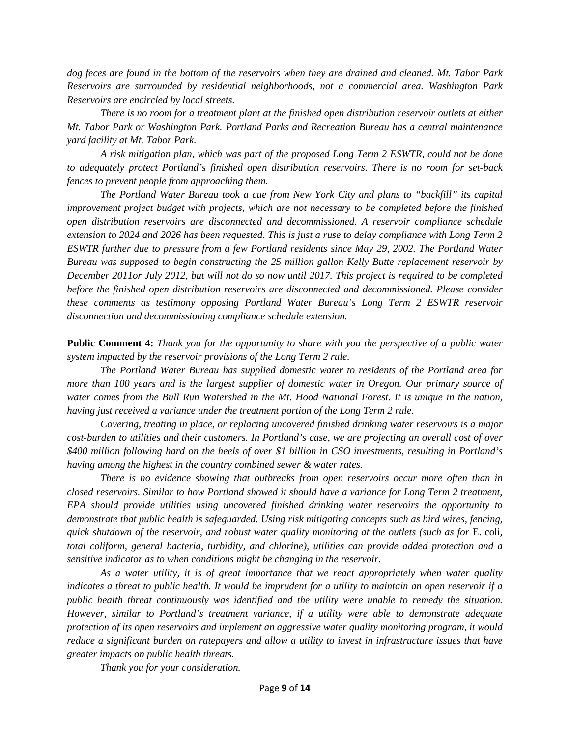*dog feces are found in the bottom of the reservoirs when they are drained and cleaned. Mt. Tabor Park Reservoirs are surrounded by residential neighborhoods, not a commercial area. Washington Park Reservoirs are encircled by local streets.* 

*There is no room for a treatment plant at the finished open distribution reservoir outlets at either Mt. Tabor Park or Washington Park. Portland Parks and Recreation Bureau has a central maintenance yard facility at Mt. Tabor Park.* 

*A risk mitigation plan, which was part of the proposed Long Term 2 ESWTR, could not be done to adequately protect Portland's finished open distribution reservoirs. There is no room for set-back fences to prevent people from approaching them.* 

*The Portland Water Bureau took a cue from New York City and plans to "backfill" its capital improvement project budget with projects, which are not necessary to be completed before the finished open distribution reservoirs are disconnected and decommissioned. A reservoir compliance schedule extension to 2024 and 2026 has been requested. This is just a ruse to delay compliance with Long Term 2 ESWTR further due to pressure from a few Portland residents since May 29, 2002. The Portland Water Bureau was supposed to begin constructing the 25 million gallon Kelly Butte replacement reservoir by December 2011or July 2012, but will not do so now until 2017. This project is required to be completed before the finished open distribution reservoirs are disconnected and decommissioned. Please consider these comments as testimony opposing Portland Water Bureau's Long Term 2 ESWTR reservoir disconnection and decommissioning compliance schedule extension.* 

**Public Comment 4:** *Thank you for the opportunity to share with you the perspective of a public water system impacted by the reservoir provisions of the Long Term 2 rule.* 

*The Portland Water Bureau has supplied domestic water to residents of the Portland area for more than 100 years and is the largest supplier of domestic water in Oregon. Our primary source of water comes from the Bull Run Watershed in the Mt. Hood National Forest. It is unique in the nation, having just received a variance under the treatment portion of the Long Term 2 rule.* 

*Covering, treating in place, or replacing uncovered finished drinking water reservoirs is a major cost-burden to utilities and their customers. In Portland's case, we are projecting an overall cost of over \$400 million following hard on the heels of over \$1 billion in CSO investments, resulting in Portland's having among the highest in the country combined sewer & water rates.* 

*There is no evidence showing that outbreaks from open reservoirs occur more often than in closed reservoirs. Similar to how Portland showed it should have a variance for Long Term 2 treatment, EPA should provide utilities using uncovered finished drinking water reservoirs the opportunity to demonstrate that public health is safeguarded. Using risk mitigating concepts such as bird wires, fencing, quick shutdown of the reservoir, and robust water quality monitoring at the outlets (such as for* E. coli*, total coliform, general bacteria, turbidity, and chlorine), utilities can provide added protection and a sensitive indicator as to when conditions might be changing in the reservoir.* 

*As a water utility, it is of great importance that we react appropriately when water quality indicates a threat to public health. It would be imprudent for a utility to maintain an open reservoir if a public health threat continuously was identified and the utility were unable to remedy the situation. However, similar to Portland's treatment variance, if a utility were able to demonstrate adequate protection of its open reservoirs and implement an aggressive water quality monitoring program, it would reduce a significant burden on ratepayers and allow a utility to invest in infrastructure issues that have greater impacts on public health threats.* 

*Thank you for your consideration.*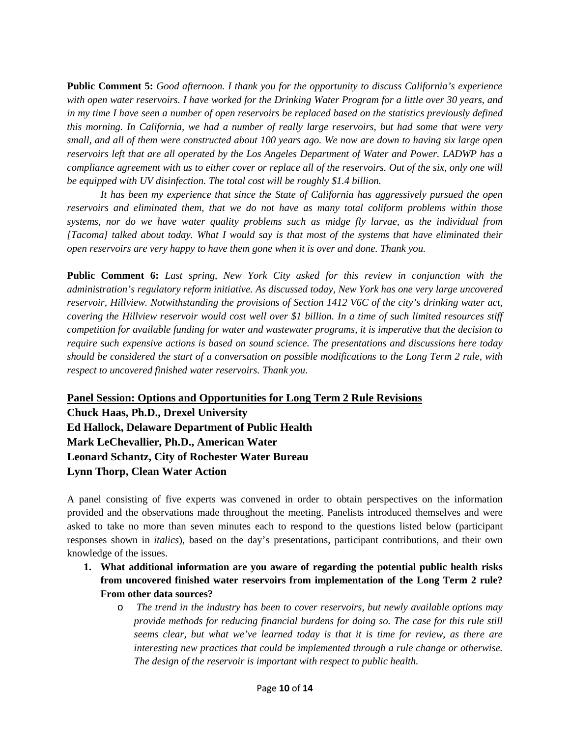**Public Comment 5:** *Good afternoon. I thank you for the opportunity to discuss California's experience with open water reservoirs. I have worked for the Drinking Water Program for a little over 30 years, and in my time I have seen a number of open reservoirs be replaced based on the statistics previously defined this morning. In California, we had a number of really large reservoirs, but had some that were very small, and all of them were constructed about 100 years ago. We now are down to having six large open reservoirs left that are all operated by the Los Angeles Department of Water and Power. LADWP has a compliance agreement with us to either cover or replace all of the reservoirs. Out of the six, only one will be equipped with UV disinfection. The total cost will be roughly \$1.4 billion.* 

*It has been my experience that since the State of California has aggressively pursued the open reservoirs and eliminated them, that we do not have as many total coliform problems within those systems, nor do we have water quality problems such as midge fly larvae, as the individual from [Tacoma] talked about today. What I would say is that most of the systems that have eliminated their open reservoirs are very happy to have them gone when it is over and done. Thank you.*

**Public Comment 6:** *Last spring, New York City asked for this review in conjunction with the administration's regulatory reform initiative. As discussed today, New York has one very large uncovered reservoir, Hillview. Notwithstanding the provisions of Section 1412 V6C of the city's drinking water act, covering the Hillview reservoir would cost well over \$1 billion. In a time of such limited resources stiff competition for available funding for water and wastewater programs, it is imperative that the decision to require such expensive actions is based on sound science. The presentations and discussions here today should be considered the start of a conversation on possible modifications to the Long Term 2 rule, with respect to uncovered finished water reservoirs. Thank you.* 

**Panel Session: Options and Opportunities for Long Term 2 Rule Revisions**

**Chuck Haas, Ph.D., Drexel University Ed Hallock, Delaware Department of Public Health Mark LeChevallier, Ph.D., American Water Leonard Schantz, City of Rochester Water Bureau Lynn Thorp, Clean Water Action**

A panel consisting of five experts was convened in order to obtain perspectives on the information provided and the observations made throughout the meeting. Panelists introduced themselves and were asked to take no more than seven minutes each to respond to the questions listed below (participant responses shown in *italics*), based on the day's presentations, participant contributions, and their own knowledge of the issues.

- **1. What additional information are you aware of regarding the potential public health risks from uncovered finished water reservoirs from implementation of the Long Term 2 rule? From other data sources?** 
	- o *The trend in the industry has been to cover reservoirs, but newly available options may provide methods for reducing financial burdens for doing so. The case for this rule still seems clear, but what we've learned today is that it is time for review, as there are interesting new practices that could be implemented through a rule change or otherwise. The design of the reservoir is important with respect to public health.*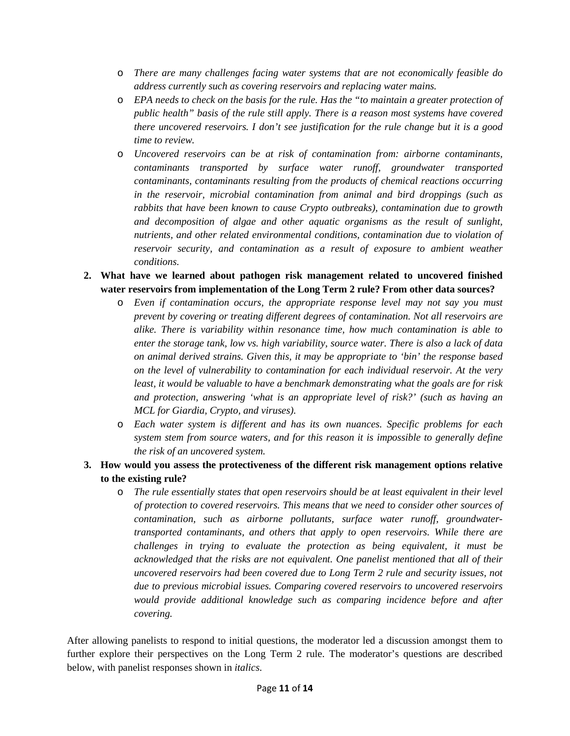- o *There are many challenges facing water systems that are not economically feasible do address currently such as covering reservoirs and replacing water mains.*
- o *EPA needs to check on the basis for the rule. Has the "to maintain a greater protection of public health" basis of the rule still apply. There is a reason most systems have covered there uncovered reservoirs. I don't see justification for the rule change but it is a good time to review.*
- o *Uncovered reservoirs can be at risk of contamination from: airborne contaminants, contaminants transported by surface water runoff, groundwater transported contaminants, contaminants resulting from the products of chemical reactions occurring in the reservoir, microbial contamination from animal and bird droppings (such as rabbits that have been known to cause Crypto outbreaks), contamination due to growth and decomposition of algae and other aquatic organisms as the result of sunlight, nutrients, and other related environmental conditions, contamination due to violation of reservoir security, and contamination as a result of exposure to ambient weather conditions.*
- **2. What have we learned about pathogen risk management related to uncovered finished water reservoirs from implementation of the Long Term 2 rule? From other data sources?** 
	- o *Even if contamination occurs, the appropriate response level may not say you must prevent by covering or treating different degrees of contamination. Not all reservoirs are alike. There is variability within resonance time, how much contamination is able to enter the storage tank, low vs. high variability, source water. There is also a lack of data on animal derived strains. Given this, it may be appropriate to 'bin' the response based on the level of vulnerability to contamination for each individual reservoir. At the very least, it would be valuable to have a benchmark demonstrating what the goals are for risk and protection, answering 'what is an appropriate level of risk?' (such as having an MCL for Giardia, Crypto, and viruses).*
	- o *Each water system is different and has its own nuances. Specific problems for each system stem from source waters, and for this reason it is impossible to generally define the risk of an uncovered system.*
- **3. How would you assess the protectiveness of the different risk management options relative to the existing rule?** 
	- o *The rule essentially states that open reservoirs should be at least equivalent in their level of protection to covered reservoirs. This means that we need to consider other sources of contamination, such as airborne pollutants, surface water runoff, groundwatertransported contaminants, and others that apply to open reservoirs. While there are challenges in trying to evaluate the protection as being equivalent, it must be acknowledged that the risks are not equivalent. One panelist mentioned that all of their uncovered reservoirs had been covered due to Long Term 2 rule and security issues, not due to previous microbial issues. Comparing covered reservoirs to uncovered reservoirs would provide additional knowledge such as comparing incidence before and after covering.*

After allowing panelists to respond to initial questions, the moderator led a discussion amongst them to further explore their perspectives on the Long Term 2 rule. The moderator's questions are described below, with panelist responses shown in *italics*.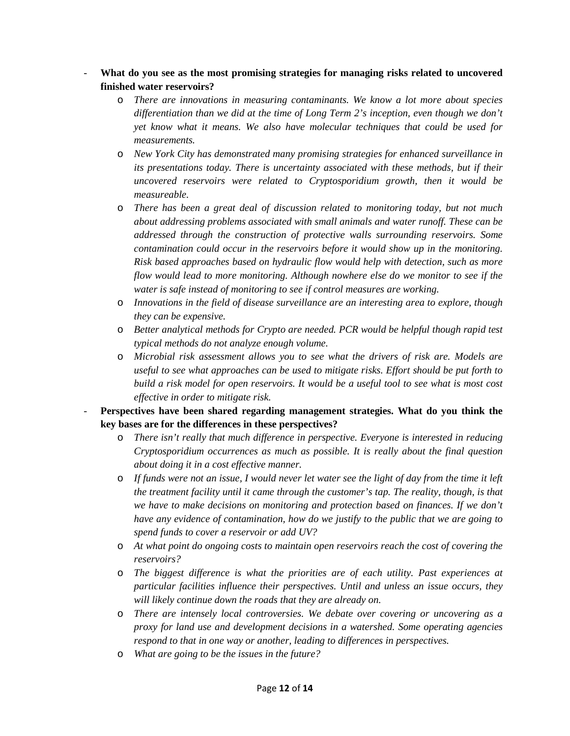- **What do you see as the most promising strategies for managing risks related to uncovered finished water reservoirs?** 
	- o *There are innovations in measuring contaminants. We know a lot more about species differentiation than we did at the time of Long Term 2's inception, even though we don't yet know what it means. We also have molecular techniques that could be used for measurements.*
	- o *New York City has demonstrated many promising strategies for enhanced surveillance in its presentations today. There is uncertainty associated with these methods, but if their uncovered reservoirs were related to Cryptosporidium growth, then it would be measureable.*
	- o *There has been a great deal of discussion related to monitoring today, but not much about addressing problems associated with small animals and water runoff. These can be addressed through the construction of protective walls surrounding reservoirs. Some contamination could occur in the reservoirs before it would show up in the monitoring. Risk based approaches based on hydraulic flow would help with detection, such as more flow would lead to more monitoring. Although nowhere else do we monitor to see if the water is safe instead of monitoring to see if control measures are working.*
	- o *Innovations in the field of disease surveillance are an interesting area to explore, though they can be expensive.*
	- o *Better analytical methods for Crypto are needed. PCR would be helpful though rapid test typical methods do not analyze enough volume.*
	- o *Microbial risk assessment allows you to see what the drivers of risk are. Models are useful to see what approaches can be used to mitigate risks. Effort should be put forth to build a risk model for open reservoirs. It would be a useful tool to see what is most cost effective in order to mitigate risk.*
- Perspectives have been shared regarding management strategies. What do you think the **key bases are for the differences in these perspectives?** 
	- o *There isn't really that much difference in perspective. Everyone is interested in reducing Cryptosporidium occurrences as much as possible. It is really about the final question about doing it in a cost effective manner.*
	- o *If funds were not an issue, I would never let water see the light of day from the time it left the treatment facility until it came through the customer's tap. The reality, though, is that we have to make decisions on monitoring and protection based on finances. If we don't have any evidence of contamination, how do we justify to the public that we are going to spend funds to cover a reservoir or add UV?*
	- o *At what point do ongoing costs to maintain open reservoirs reach the cost of covering the reservoirs?*
	- o *The biggest difference is what the priorities are of each utility. Past experiences at particular facilities influence their perspectives. Until and unless an issue occurs, they will likely continue down the roads that they are already on.*
	- o *There are intensely local controversies. We debate over covering or uncovering as a proxy for land use and development decisions in a watershed. Some operating agencies respond to that in one way or another, leading to differences in perspectives.*
	- o *What are going to be the issues in the future?*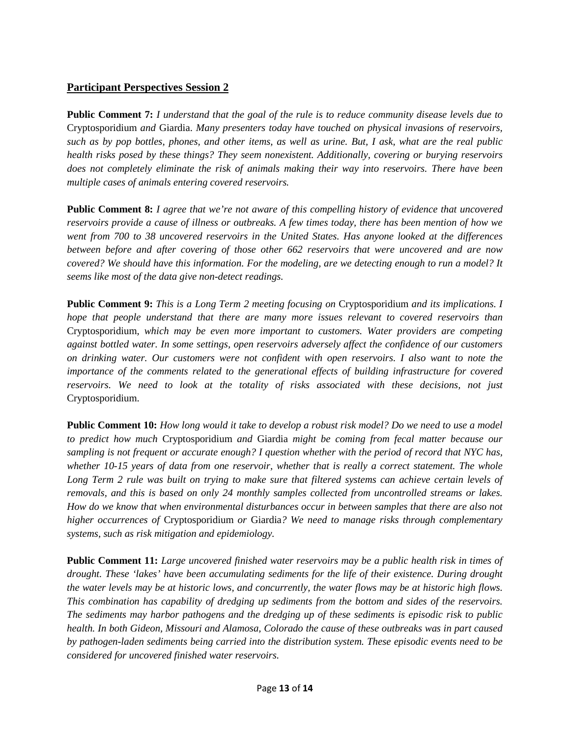#### **Participant Perspectives Session 2**

**Public Comment 7:** *I understand that the goal of the rule is to reduce community disease levels due to*  Cryptosporidium *and* Giardia. *Many presenters today have touched on physical invasions of reservoirs, such as by pop bottles, phones, and other items, as well as urine. But, I ask, what are the real public health risks posed by these things? They seem nonexistent. Additionally, covering or burying reservoirs does not completely eliminate the risk of animals making their way into reservoirs. There have been multiple cases of animals entering covered reservoirs.*

**Public Comment 8:** *I agree that we're not aware of this compelling history of evidence that uncovered reservoirs provide a cause of illness or outbreaks. A few times today, there has been mention of how we went from 700 to 38 uncovered reservoirs in the United States. Has anyone looked at the differences between before and after covering of those other 662 reservoirs that were uncovered and are now covered? We should have this information. For the modeling, are we detecting enough to run a model? It seems like most of the data give non-detect readings.*

**Public Comment 9:** *This is a Long Term 2 meeting focusing on* Cryptosporidium *and its implications. I hope that people understand that there are many more issues relevant to covered reservoirs than* Cryptosporidium*, which may be even more important to customers. Water providers are competing against bottled water. In some settings, open reservoirs adversely affect the confidence of our customers on drinking water. Our customers were not confident with open reservoirs. I also want to note the importance of the comments related to the generational effects of building infrastructure for covered reservoirs. We need to look at the totality of risks associated with these decisions, not just* Cryptosporidium.

**Public Comment 10:** *How long would it take to develop a robust risk model? Do we need to use a model to predict how much* Cryptosporidium *and* Giardia *might be coming from fecal matter because our sampling is not frequent or accurate enough? I question whether with the period of record that NYC has, whether 10-15 years of data from one reservoir, whether that is really a correct statement. The whole Long Term 2 rule was built on trying to make sure that filtered systems can achieve certain levels of removals, and this is based on only 24 monthly samples collected from uncontrolled streams or lakes. How do we know that when environmental disturbances occur in between samples that there are also not higher occurrences of* Cryptosporidium *or* Giardia*? We need to manage risks through complementary systems, such as risk mitigation and epidemiology.*

**Public Comment 11:** *Large uncovered finished water reservoirs may be a public health risk in times of drought. These 'lakes' have been accumulating sediments for the life of their existence. During drought the water levels may be at historic lows, and concurrently, the water flows may be at historic high flows. This combination has capability of dredging up sediments from the bottom and sides of the reservoirs. The sediments may harbor pathogens and the dredging up of these sediments is episodic risk to public health. In both Gideon, Missouri and Alamosa, Colorado the cause of these outbreaks was in part caused by pathogen-laden sediments being carried into the distribution system. These episodic events need to be considered for uncovered finished water reservoirs.*